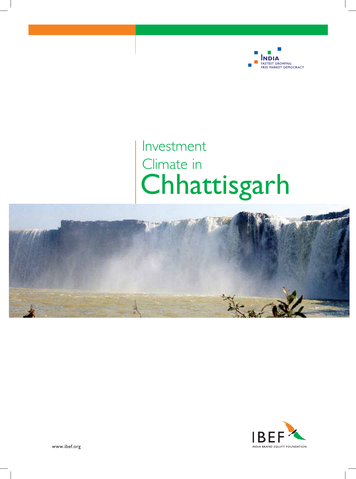

# Investment Climate in Chhattisgarh



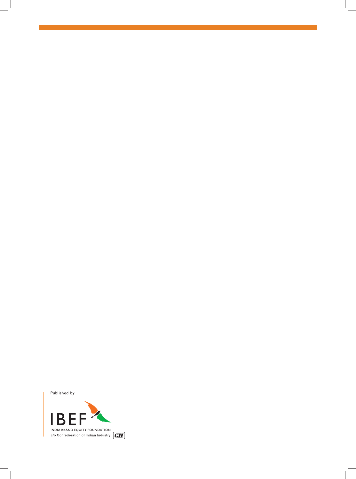Published by

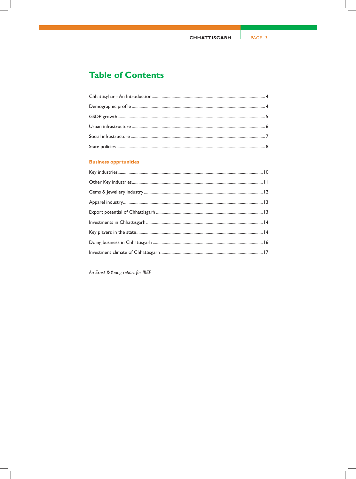# **Table of Contents**

# **Business opprtunities**

An Ernst & Young report for IBEF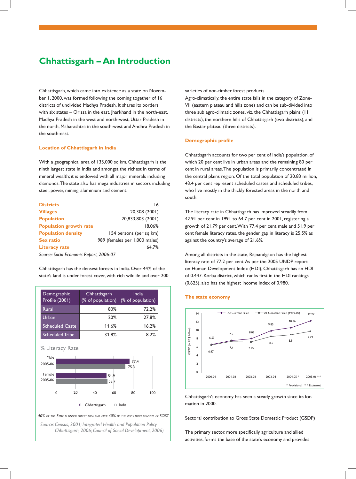# **Chhattisgarh – An Introduction**

Chhattisgarh, which came into existence as a state on November 1, 2000, was formed following the coming together of 16 districts of undivided Madhya Pradesh. It shares its borders with six states – Orissa in the east, Jharkhand in the north-east, Madhya Pradesh in the west and north-west, Uttar Pradesh in the north, Maharashtra in the south-west and Andhra Pradesh in the south-east.

#### **Location of Chhattisgarh in India**

With a geographical area of 135,000 sq km, Chhattisgarh is the ninth largest state in India and amongst the richest in terms of mineral wealth; it is endowed with all major minerals including diamonds. The state also has mega industries in sectors including steel, power, mining, aluminium and cement.

| <b>Districts</b>                       | 16                            |  |  |  |
|----------------------------------------|-------------------------------|--|--|--|
| <b>Villages</b>                        | 20,308 (2001)                 |  |  |  |
| <b>Population</b>                      | 20,833,803 (2001)             |  |  |  |
| <b>Population growth rate</b>          | 18.06%                        |  |  |  |
| <b>Population density</b>              | 154 persons (per sq km)       |  |  |  |
| <b>Sex ratio</b>                       | 989 (females per 1,000 males) |  |  |  |
| <b>Literacy rate</b>                   | 64.7%                         |  |  |  |
| Source: Socio Economic Report, 2006-07 |                               |  |  |  |

Chhattisgarh has the densest forests in India. Over 44% of the state's land is under forest cover, with rich wildlife and over 200

| Demographic<br>Profile (2001) | Chhattisgarh<br>(% of population) | India<br>(% of population) |
|-------------------------------|-----------------------------------|----------------------------|
| Rural                         | 80%                               | 72.2%                      |
| Urban                         | 20%                               | 27.8%                      |
| <b>Scheduled Caste</b>        | 11.6%                             | 16.2%                      |
| <b>Scheduled Tribe</b>        | 31.8%                             | 8.2%                       |

# % Literacy Rate



*40% OF THE STATE IS UNDER FOREST AREA AND OVER 40% OF THE POPULATION CONSISTS OF SC/ST*

*Source: Census, 2001; Integrated Health and Population Policy Chhattisgarh, 2006; Council of Social Development, 2006)* varieties of non-timber forest products.

Agro-climatically, the entire state falls in the category of Zone-VII (eastern plateau and hills zone) and can be sub-divided into three sub agro-climatic zones, viz. the Chhattisgarh plains (11 districts), the northern hills of Chhattisgarh (two districts), and the Bastar plateau (three districts).

#### **Demographic profile**

Chhattisgarh accounts for two per cent of India's population, of which 20 per cent live in urban areas and the remaining 80 per cent in rural areas. The population is primarily concentrated in the central plains region. Of the total population of 20.83 million, 43.4 per cent represent scheduled castes and scheduled tribes, who live mostly in the thickly forested areas in the north and south.

The literacy rate in Chhattisgarh has improved steadily from 42.91 per cent in 1991 to 64.7 per cent in 2001, registering a growth of 21.79 per cent. With 77.4 per cent male and 51.9 per cent female literacy rates, the gender gap in literacy is 25.5% as against the country's average of 21.6%.

Among all districts in the state, Rajnandgaon has the highest literacy rate of 77.2 per cent. As per the 2005 UNDP report on Human Development Index (HDI), Chhattisgarh has an HDI of 0.447. Korba district, which ranks first in the HDI rankings (0.625), also has the highest income index of 0.980.

#### **The state economy**



Chhattisgarh's economy has seen a steady growth since its formation in 2000.

Sectoral contribution to Gross State Domestic Product (GSDP)

The primary sector, more specifically agriculture and allied activities, forms the base of the state's economy and provides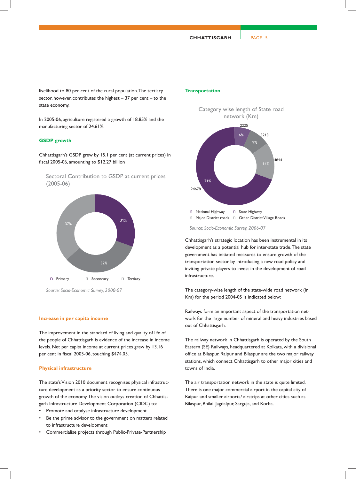livelihood to 80 per cent of the rural population. The tertiary sector, however, contributes the highest  $-37$  per cent  $-$  to the state economy.

In 2005-06, agriculture registered a growth of 18.85% and the manufacturing sector of 24.61%.

#### **GSDP growth**

Chhattisgarh's GSDP grew by 15.1 per cent (at current prices) in fiscal 2005-06, amounting to \$12.27 billion







# **Increase in per capita income**

The improvement in the standard of living and quality of life of the people of Chhattisgarh is evidence of the increase in income levels. Net per capita income at current prices grew by 13.16 per cent in fiscal 2005-06, touching \$474.05.

#### **Physical infrastructure**

The state's Vision 2010 document recognises physical infrastructure development as a priority sector to ensure continuous growth of the economy. The vision outlays creation of Chhattisgarh Infrastructure Development Corporation (CIDC) to:

- Promote and catalyse infrastructure development
- Be the prime advisor to the government on matters related to infrastructure development
- Commercialise projects through Public-Private-Partnership

#### **Transportation**



*Source: Socio-Economic Survey, 2006-07*

Chhattisgarh's strategic location has been instrumental in its development as a potential hub for inter-state trade. The state government has initiated measures to ensure growth of the transportation sector by introducing a new road policy and inviting private players to invest in the development of road infrastructure.

The category-wise length of the state-wide road network (in Km) for the period 2004-05 is indicated below:

Railways form an important aspect of the transportation network for the large number of mineral and heavy industries based out of Chhattisgarh.

The railway network in Chhattisgarh is operated by the South Eastern (SE) Railways, headquartered at Kolkata, with a divisional office at Bilaspur. Raipur and Bilaspur are the two major railway stations, which connect Chhattisgarh to other major cities and towns of India.

The air transportation network in the state is quite limited. There is one major commercial airport in the capital city of Raipur and smaller airports/ airstrips at other cities such as Bilaspur, Bhilai, Jagdalpur, Sarguja, and Korba.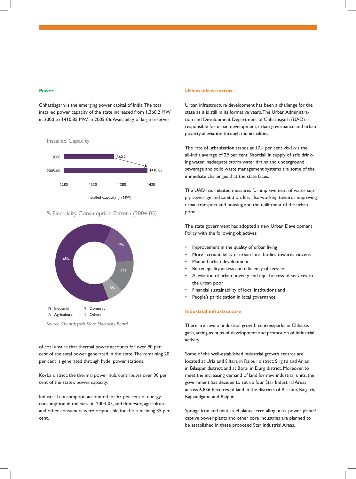#### **Power**

Chhattisgarh is the emerging power capital of India. The total installed power capacity of the state increased from 1,360.2 MW in 2000 to 1410.85 MW in 2005-06. Availability of large reserves



% Electricity Consumption Pattern (2004-05)



of coal ensure that thermal power accounts for over 90 per cent of the total power generated in the state. The remaining 20 per cent is generated through hydel power stations.

Korba district, the thermal power hub, contributes over 90 per cent of the state's power capacity.

Industrial consumption accounted for 65 per cent of energy consumption in the state in 2004-05, and domestic, agriculture and other consumers were responsible for the remaining 35 per cent.

#### **Urban infrastructure**

Urban infrastructure development has been a challenge for the state as it is still in its formative years. The Urban Administration and Development Department of Chhattisgarh (UAD) is responsible for urban development, urban governance and urban poverty alleviation through municipalities.

The rate of urbanisation stands at 17.4 per cent vis-à-vis the all-India average of 29 per cent. Shortfall in supply of safe drinking water, inadequate storm water drains and underground sewerage and solid waste management systems are some of the immediate challenges that the state faces.

The UAD has initiated measures for improvement of water supply, sewerage and sanitation. It is also working towards improving urban transport and housing and the upliftment of the urban poor.

The state government has adopted a new Urban Development Policy with the following objectives:

- Improvement in the quality of urban living
- More accountability of urban local bodies towards citizens
- Planned urban development
- Better quality access and efficiency of service
- Alleviation of urban poverty and equal access of services to the urban poor
- Financial sustainability of local institutions and
- People's participation in local governance

# **Industrial infrastructure**

There are several industrial growth centres/parks in Chhattisgarh, acting as hubs of development and promotion of industrial activity.

Some of the well-established industrial growth centres are located at Urla and Siltara in Raipur district; Sirgitti and Anjani in Bilaspur district; and at Borai in Durg district. Moreover, to meet the increasing demand of land for new industrial units, the government has decided to set up four Star Industrial Areas across 6,836 hectares of land in the districts of Bilaspur, Raigarh, Rajnandgaon and Raipur.

Sponge iron and mini-steel plants, ferro alloy units, power plants/ captive power plants and other core industries are planned to be established in these proposed Star Industrial Areas.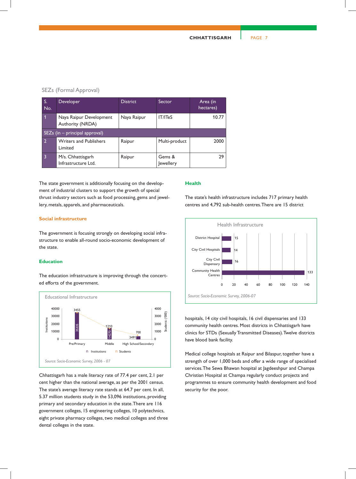# SEZs (Formal Approval)

| S.<br>No.      | Developer                                   | <b>District</b> | Sector              | Area (in<br>hectares) |  |  |  |
|----------------|---------------------------------------------|-----------------|---------------------|-----------------------|--|--|--|
|                | Naya Raipur Development<br>Authority (NRDA) | Naya Raipur     | <b>IT/ITeS</b>      | 10.77                 |  |  |  |
|                | SEZs (in $-$ principal approval)            |                 |                     |                       |  |  |  |
| $\overline{2}$ | <b>Writers and Publishers</b><br>Limited    | Raipur          | Multi-product       | 2000                  |  |  |  |
| 3              | M/s. Chhattisgarh<br>Infrastructure Ltd.    | Raipur          | Gems &<br>Jewellery | 29.                   |  |  |  |

The state government is additionally focusing on the development of industrial clusters to support the growth of special thrust industry sectors such as food processing, gems and jewellery, metals, apparels, and pharmaceuticals.

# **Social infrastructure**

The government is focusing strongly on developing social infrastructure to enable all-round socio-economic development of the state.

#### **Education**

The education infrastructure is improving through the concerted efforts of the government.



Chhattisgarh has a male literacy rate of 77.4 per cent, 2.1 per cent higher than the national average, as per the 2001 census. The state's average literacy rate stands at 64.7 per cent. In all, 5.37 million students study in the 53,096 institutions, providing primary and secondary education in the state. There are 116 government colleges, 15 engineering colleges, 10 polytechnics, eight private pharmacy colleges, two medical colleges and three dental colleges in the state.

#### **Health**

The state's health infrastructure includes 717 primary health centres and 4,792 sub-health centres. There are 15 district



hospitals, 14 city civil hospitals, 16 civil dispensaries and 133 community health centres. Most districts in Chhattisgarh have clinics for STDs (Sexually Transmitted Diseases). Twelve districts have blood bank facility.

Medical college hospitals at Raipur and Bilaspur, together have a strength of over 1,000 beds and offer a wide range of specialised services. The Sewa Bhawan hospital at Jagdeeshpur and Champa Christian Hospital at Champa regularly conduct projects and programmes to ensure community health development and food security for the poor.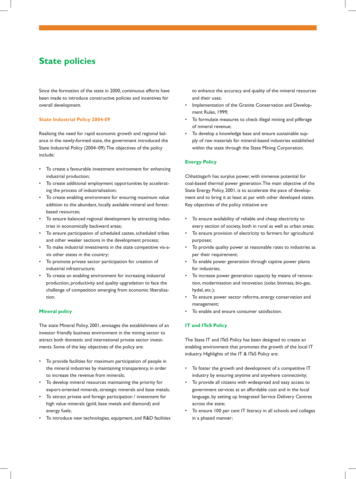# **State policies**

Since the formation of the state in 2000, continuous efforts have been made to introduce constructive policies and incentives for overall development.

# **State Industrial Policy 2004-09**

Realising the need for rapid economic growth and regional balance in the newly-formed state, the government introduced the State Industrial Policy (2004–09). The objectives of the policy include:

- To create a favourable investment environment for enhancing industrial production;
- To create additional employment opportunities by accelerating the process of industrialisation;
- To create enabling environment for ensuring maximum value addition to the abundant, locally available mineral and forestbased resources;
- To ensure balanced regional development by attracting industries in economically backward areas;
- To ensure participation of scheduled castes, scheduled tribes and other weaker sections in the development process;
- To make industrial investments in the state competitive vis-avis other states in the country;
- To promote private sector participation for creation of industrial infrastructure;
- To create an enabling environment for increasing industrial production, productivity and quality upgradation to face the challenge of competition emerging from economic liberalisation.

# **Mineral policy**

The state Mineral Policy, 2001, envisages the establishment of an investor friendly business environment in the mining sector to attract both domestic and international private sector investments. Some of the key objectives of the policy are:

- To provide facilities for maximum participation of people in the mineral industries by maintaining transparency, in order to increase the revenue from minerals;
- To develop mineral resources maintaining the priority for export-oriented minerals, strategic minerals and base metals;
- To attract private and foreign participation / investment for high value minerals (gold, base metals and diamond) and energy fuels;
- To introduce new technologies, equipment, and R&D facilities

to enhance the accuracy and quality of the mineral resources and their uses;

- Implementation of the Granite Conservation and Development Rules, 1999;
- To formulate measures to check illegal mining and pilferage of mineral revenue;
- To develop a knowledge base and ensure sustainable supply of raw materials for mineral-based industries established within the state through the State Mining Corporation.

## **Energy Policy**

Chhattisgarh has surplus power, with immense potential for coal-based thermal power generation. The main objective of the State Energy Policy, 2001, is to accelerate the pace of development and to bring it at least at par with other developed states. Key objectives of the policy initiative are:

- To ensure availability of reliable and cheap electricity to every section of society, both in rural as well as urban areas;
- To ensure provision of electricity to farmers for agricultural purposes;
- To provide quality power at reasonable rates to industries as per their requirement;
- To enable power generation through captive power plants for industries;
- To increase power generation capacity by means of renovation, modernisation and innovation (solar, biomass, bio-gas, hydel, etc.);
- To ensure power sector reforms, energy conservation and management;
- To enable and ensure consumer satisfaction.

#### **IT and ITeS Policy**

The State IT and ITeS Policy has been designed to create an enabling environment that promotes the growth of the local IT industry. Highlights of the IT & ITeS Policy are:

- To foster the growth and development of a competitive IT industry by ensuring anytime and anywhere connectivity;
- To provide all citizens with widespread and easy access to government services at an affordable cost and in the local language, by setting up Integrated Service Delivery Centres across the state;
- To ensure 100 per cent IT literacy in all schools and colleges in a phased manner;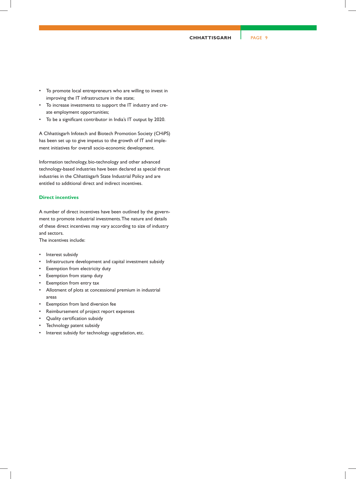**CHHATTISGARH** PAGE 9

- To promote local entrepreneurs who are willing to invest in improving the IT infrastructure in the state;
- To increase investments to support the IT industry and create employment opportunities;
- To be a significant contributor in India's IT output by 2020.

A Chhattisgarh Infotech and Biotech Promotion Society (CHiPS) has been set up to give impetus to the growth of IT and implement initiatives for overall socio-economic development.

Information technology, bio-technology and other advanced technology-based industries have been declared as special thrust industries in the Chhattisgarh State Industrial Policy and are entitled to additional direct and indirect incentives.

# **Direct incentives**

A number of direct incentives have been outlined by the government to promote industrial investments. The nature and details of these direct incentives may vary according to size of industry and sectors.

The incentives include:

- Interest subsidy
- Infrastructure development and capital investment subsidy
- Exemption from electricity duty
- Exemption from stamp duty
- Exemption from entry tax
- Allotment of plots at concessional premium in industrial areas
- Exemption from land diversion fee
- Reimbursement of project report expenses
- Quality certification subsidy
- Technology patent subsidy
- Interest subsidy for technology upgradation, etc.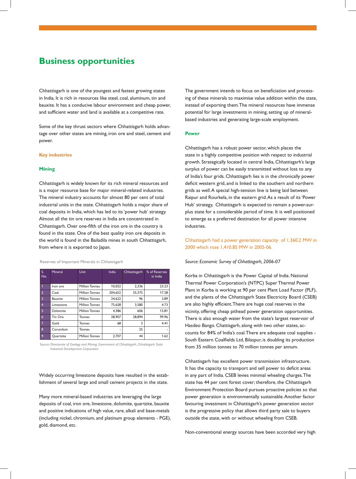# **Business opportunities**

Chhattisgarh is one of the youngest and fastest growing states in India. It is rich in resources like steel, coal, aluminum, tin and bauxite. It has a conducive labour environment and cheap power, and sufficient water and land is available at a competitive rate.

Some of the key thrust sectors where Chhattisgarh holds advantage over other states are mining, iron ore and steel, cement and power.

# **Key industries**

#### **Mining**

Chhattisgarh is widely known for its rich mineral resources and is a major resource base for major mineral-related industries. The mineral industry accounts for almost 80 per cent of total industrial units in the state. Chhattisgarh holds a major share of coal deposits in India, which has led to its 'power hub' strategy. Almost all the tin ore reserves in India are concentrated in Chhattisgarh. Over one-fifth of the iron ore in the country is found in the state. One of the best quality iron ore deposits in the world is found in the Bailadila mines in south Chhattisgarh, from where it is exported to Japan.

Reserves of Important Minerals in Chhattisgarh

| S.<br>No.               | Mineral   | <b>Unit</b>           | India   | Chhattisgarh | % of Reserves<br>in India |
|-------------------------|-----------|-----------------------|---------|--------------|---------------------------|
| $\mathbf 1$             | Iron ore  | <b>Million Tonnes</b> | 10,052  | 2,336        | 23.23                     |
| $\overline{2}$          | Coal      | <b>Million Tonnes</b> | 204.652 | 35.375       | 17.28                     |
| $\overline{\mathbf{3}}$ | Bauxite   | <b>Million Tonnes</b> | 24,622  | 96           | 3.89                      |
| $\overline{4}$          | Limestone | <b>Million Tonnes</b> | 75,658  | 3,580        | 4.73                      |
| 5                       | Dolomite  | <b>Million Tonnes</b> | 4.386   | 606          | 13.81                     |
| $6\overline{6}$         | Tin Ore   | <b>Tonnes</b>         | 28,907  | 28.894       | 99.96                     |
| $\overline{7}$          | Gold      | Tonnes                | 68      | 3            | 4.41                      |
| 8                       | Corundum  | <b>Tonnes</b>         | ۰       | 25           |                           |
| 9                       | Quartzite | <b>Million Tonnes</b> | 2.707   | 44           | 1.62                      |

*Source: Directorate of Geology and Mining, Government of Chhattisgarh, Chhattisgarh State Industrial Development Corporation*

Widely occurring limestone deposits have resulted in the establishment of several large and small cement projects in the state.

Many more mineral-based industries are leveraging the large deposits of coal, iron ore, limestone, dolomite, quartzite, bauxite and positive indications of high value, rare, alkali and base-metals (including nickel, chromium, and platinum group elements - PGE), gold, diamond, etc.

The government intends to focus on beneficiation and processing of these minerals to maximise value addition within the state, instead of exporting them. The mineral resources have immense potential for large investments in mining, setting up of mineralbased industries and generating large-scale employment.

#### **Power**

Chhattisgarh has a robust power sector, which places the state in a highly competitive position with respect to industrial growth. Strategically located in central India, Chhattisgarh's large surplus of power can be easily transmitted without loss to any of India's four grids. Chhattisgarh lies is in the chronically power deficit western grid, and is linked to the southern and northern grids as well. A special high-tension line is being laid between Raipur and Rourkela, in the eastern grid. As a result of its 'Power Hub' strategy, Chhattisgarh is expected to remain a power-surplus state for a considerable period of time. It is well positioned to emerge as a preferred destination for all power intensive industries.

# Chhattisgarh had a power generation capacity of 1,360.2 MW in 2000 which rose 1,410.85 MW in 2005-06.

#### *Source: Economic Survey of Chhattisgarh, 2006-07*

Korba in Chhattisgarh is the Power Capital of India. National Thermal Power Corporation's (NTPC) Super Thermal Power Plant in Korba is working at 90 per cent Plant Load Factor (PLF), and the plants of the Chhattisgarh State Electricity Board (CSEB) are also highly efficient. There are huge coal reserves in the vicinity, offering cheap pithead power generation opportunities. There is also enough water from the state's largest reservoir of Hasdeo Bango. Chattisgarh, along with two other states, accounts for 84% of India's coal. There are adequate coal supplies - South Eastern Coalfields Ltd, Bilaspur, is doubling its production from 35 million tonnes to 70 million tonnes per annum.

Chhattisgarh has excellent power transmission infrastructure. It has the capacity to transport and sell power to deficit areas in any part of India. CSEB levies minimal wheeling charges. The state has 44 per cent forest cover; therefore, the Chhattisgarh Environment Protection Board pursues proactive policies so that power generation is environmentally sustainable. Another factor favouring investment in Chhattisgarh's power generation sector is the progressive policy that allows third party sale to buyers outside the state, with or without wheeling from CSEB.

Non-conventional energy sources have been accorded very high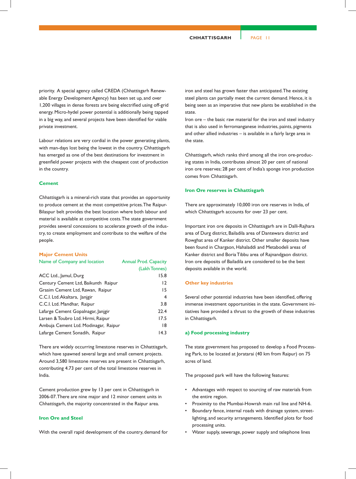priority. A special agency called CREDA (Chhattisgarh Renewable Energy Development Agency) has been set up, and over 1,200 villages in dense forests are being electrified using off-grid energy. Micro-hydel power potential is additionally being tapped in a big way, and several projects have been identified for viable private investment.

Labour relations are very cordial in the power generating plants, with man-days lost being the lowest in the country. Chhattisgarh has emerged as one of the best destinations for investment in greenfield power projects with the cheapest cost of production in the country.

#### **Cement**

Chhattisgarh is a mineral-rich state that provides an opportunity to produce cement at the most competitive prices. The Raipur-Bilaspur belt provides the best location where both labour and material is available at competitive costs. The state government provides several concessions to accelerate growth of the industry, to create employment and contribute to the welfare of the people.

#### **Major Cement Units**

| Name of Company and location         | <b>Annual Prod. Capacity</b> |
|--------------------------------------|------------------------------|
|                                      | (Lakh Tonnes)                |
| ACC Ltd., Jamul, Durg                | 15.8                         |
| Century Cement Ltd, Baikunth Raipur  | 12                           |
| Grasim Cement Ltd, Rawan, Raipur     | 15                           |
| C.C.I. Ltd. Akaltara, Janjgir        | $\overline{4}$               |
| C.C.I. Ltd. Mandhar, Raipur          | 3.8                          |
| Lafarge Cement Gopalnagar, Janjgir   | 22.4                         |
| Larsen & Toubro Ltd. Hirmi, Raipur   | 17.5                         |
| Ambuja Cement Ltd. Modinagar, Raipur | 18                           |
| Lafarge Cement Sonadih, Raipur       | 14.3                         |
|                                      |                              |

There are widely occurring limestone reserves in Chhattisgarh, which have spawned several large and small cement projects. Around 3,580 limestone reserves are present in Chhattisgarh, contributing 4.73 per cent of the total limestone reserves in India.

Cement production grew by 13 per cent in Chhattisgarh in 2006-07. There are nine major and 12 minor cement units in Chhattisgarh, the majority concentrated in the Raipur area.

#### **Iron Ore and Steel**

With the overall rapid development of the country, demand for

iron and steel has grown faster than anticipated. The existing steel plants can partially meet the current demand. Hence, it is being seen as an imperative that new plants be established in the state.

Iron ore – the basic raw material for the iron and steel industry that is also used in ferromanganese industries, paints, pigments and other allied industries – is available in a fairly large area in the state.

Chhattisgarh, which ranks third among all the iron ore-producing states in India, contributes almost 20 per cent of national iron ore reserves; 28 per cent of India's sponge iron production comes from Chhattisgarh.

#### **Iron Ore reserves in Chhattisgarh**

There are approximately 10,000 iron ore reserves in India, of which Chhattisgarh accounts for over 23 per cent.

Important iron ore deposits in Chhattisgarh are in Dalli-Rajhara area of Durg district, Bailadila area of Dantewara district and Rowghat area of Kanker district. Other smaller deposits have been found in Chargaon, Hahaladdi and Metabodeli areas of Kanker district and Boria Tibbu area of Rajnandgaon district. Iron ore deposits of Bailadila are considered to be the best deposits available in the world.

#### **Other key industries**

Several other potential industries have been identified, offering immense investment opportunities in the state. Government initiatives have provided a thrust to the growth of these industries in Chhattisgarh.

## **a) Food processing industry**

The state government has proposed to develop a Food Processing Park, to be located at Joratarai (40 km from Raipur) on 75 acres of land.

The proposed park will have the following features:

- Advantages with respect to sourcing of raw materials from the entire region.
- Proximity to the Mumbai-Howrah main rail line and NH-6.
- Boundary fence, internal roads with drainage system, streetlighting, and security arrangements. Identified plots for food processing units.
- Water supply, sewerage, power supply and telephone lines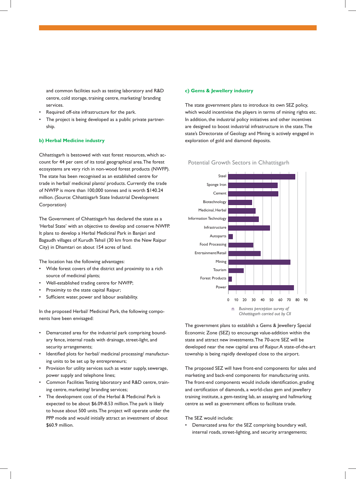and common facilities such as testing laboratory and R&D centre, cold storage, training centre, marketing/ branding services.

- Required off-site infrastructure for the park.
- The project is being developed as a public private partnership.

#### **b) Herbal Medicine industry**

Chhattisgarh is bestowed with vast forest resources, which account for 44 per cent of its total geographical area. The forest ecosystems are very rich in non-wood forest products (NWFP). The state has been recognised as an established centre for trade in herbal/ medicinal plants/ products. Currently the trade of NWFP is more than 100,000 tonnes and is worth \$140.24 million. (Source: Chhattisgarh State Industrial Development Corporation)

The Government of Chhattisgarh has declared the state as a 'Herbal State' with an objective to develop and conserve NWFP. It plans to develop a Herbal Medicinal Park in Banjari and Bagaudh villages of Kurudh Tehsil (30 km from the New Raipur City) in Dhamtari on about 154 acres of land.

The location has the following advantages:

- Wide forest covers of the district and proximity to a rich source of medicinal plants;
- Well-established trading centre for NWFP;
- Proximity to the state capital Raipur;
- Sufficient water, power and labour availability.

In the proposed Herbal/ Medicinal Park, the following components have been envisaged:

- Demarcated area for the industrial park comprising boundary fence, internal roads with drainage, street-light, and security arrangements;
- Identified plots for herbal/ medicinal processing/ manufacturing units to be set up by entrepreneurs;
- Provision for utility services such as water supply, sewerage, power supply and telephone lines;
- Common Facilities Testing laboratory and R&D centre, training centre, marketing/ branding services;
- The development cost of the Herbal & Medicinal Park is expected to be about \$6.09-8.53 million. The park is likely to house about 500 units. The project will operate under the PPP mode and would initially attract an investment of about \$60.9 million.

#### **c) Gems & Jewellery industry**

The state government plans to introduce its own SEZ policy, which would incentivise the players in terms of mining rights etc. In addition, the industrial policy initiatives and other incentives are designed to boost industrial infrastructure in the state. The state's Directorate of Geology and Mining is actively engaged in exploration of gold and diamond deposits.

#### Potential Growth Sectors in Chhattisgarh



The government plans to establish a Gems & Jewellery Special Economic Zone (SEZ) to encourage value-addition within the state and attract new investments. The 70-acre SEZ will be developed near the new capital area of Raipur. A state-of-the-art township is being rapidly developed close to the airport.

The proposed SEZ will have front-end components for sales and marketing and back-end components for manufacturing units. The front-end components would include identification, grading and certification of diamonds, a world-class gem and jewellery training institute, a gem-testing lab, an assaying and hallmarking centre as well as government offices to facilitate trade.

The SEZ would include:

• Demarcated area for the SEZ comprising boundary wall, internal roads, street-lighting, and security arrangements;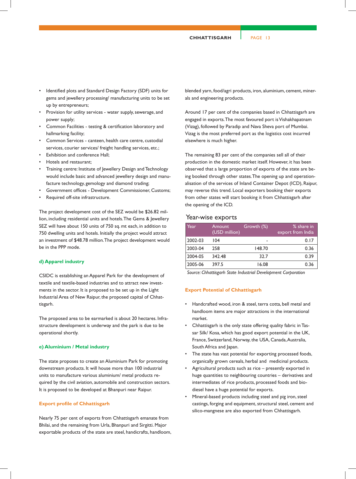**CHHATTISGARH** PAGE 13

- Identified plots and Standard Design Factory (SDF) units for gems and jewellery processing/ manufacturing units to be set up by entrepreneurs;
- Provision for utility services water supply, sewerage, and power supply;
- Common Facilities testing & certification laboratory and hallmarking facility;
- Common Services canteen, health care centre, custodial services, courier services/ freight handling services, etc.;
- Exhibition and conference Hall;
- Hotels and restaurant;
- Training centre: Institute of Jewellery Design and Technology would include basic and advanced jewellery design and manufacture technology, gemology and diamond trading;
- Government offices Development Commissioner, Customs;
- Required off-site infrastructure.

The project development cost of the SEZ would be \$26.82 million, including residential units and hotels. The Gems & Jewellery SEZ will have about 150 units of 750 sq. mt each, in addition to 750 dwelling units and hotels. Initially the project would attract an investment of \$48.78 million. The project development would be in the PPP mode.

## **d) Apparel industry**

CSIDC is establishing an Apparel Park for the development of textile and textile-based industries and to attract new investments in the sector. It is proposed to be set up in the Light Industrial Area of New Raipur, the proposed capital of Chhattisgarh.

The proposed area to be earmarked is about 20 hectares. Infrastructure development is underway and the park is due to be operational shortly.

# **e) Aluminium / Metal industry**

The state proposes to create an Aluminium Park for promoting downstream products. It will house more than 100 industrial units to manufacture various aluminium/ metal products required by the civil aviation, automobile and construction sectors. It is proposed to be developed at Bhanpuri near Raipur.

#### **Export profile of Chhattisgarh**

Nearly 75 per cent of exports from Chhattisgarh emanate from Bhilai, and the remaining from Urla, Bhanpuri and Sirgitti. Major exportable products of the state are steel, handicrafts, handloom,

blended yarn, food/agri products, iron, aluminium, cement, minerals and engineering products.

Around 17 per cent of the companies based in Chhattisgarh are engaged in exports. The most favoured port is Vishakhapatnam (Vizag), followed by Paradip and Nava Sheva port of Mumbai. Vizag is the most preferred port as the logistics cost incurred elsewhere is much higher.

The remaining 83 per cent of the companies sell all of their production in the domestic market itself. However, it has been observed that a large proportion of exports of the state are being booked through other states. The opening up and operationalisation of the services of Inland Container Depot (ICD), Raipur, may reverse this trend. Local exporters booking their exports from other states will start booking it from Chhattisgarh after the opening of the ICD.

# Year-wise exports

| Year    | Amount<br>(USD million) | Growth (%) | % share in<br>export from India |
|---------|-------------------------|------------|---------------------------------|
| 2002-03 | 104                     | -          | 0.17                            |
| 2003-04 | 258                     | 148.70     | 0.36                            |
| 2004-05 | 342.48                  | 32.7       | 0.39                            |
| 2005-06 | 397.5                   | 16.08      | 0.36                            |

*Source: Chhattisgarh State Industrial Development Corporation*

## **Export Potential of Chhattisgarh**

- Handcrafted wood, iron & steel, terra cotta, bell metal and handloom items are major attractions in the international market.
- Chhattisgarh is the only state offering quality fabric in Tassar Silk/ Kosa, which has good export potential in the UK, France, Switzerland, Norway, the USA, Canada, Australia, South Africa and Japan.
- The state has vast potential for exporting processed foods, organically grown cereals, herbal and medicinal products.
- Agricultural products such as rice presently exported in huge quantities to neighbouring countries – derivatives and intermediates of rice products, processed foods and biodiesel have a huge potential for exports.
- Mineral-based products including steel and pig iron, steel castings, forging and equipment, structural steel, cement and silico-mangnese are also exported from Chhattisgarh.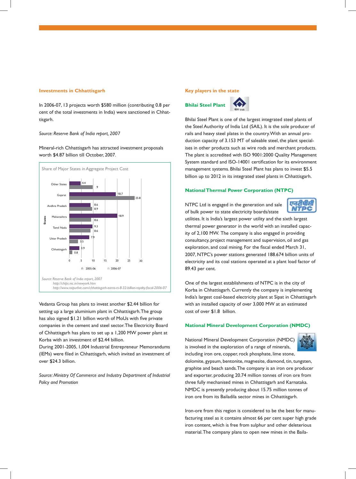#### **Investments in Chhattisgarh**

In 2006-07, 13 projects worth \$580 million (contributing 0.8 per cent of the total investments in India) were sanctioned in Chhattisgarh.

#### *Source: Reserve Bank of India report, 2007*

Mineral-rich Chhattisgarh has attracted investment proposals worth \$4.87 billion till October, 2007.



Vedanta Group has plans to invest another \$2.44 billion for setting up a large aluminium plant in Chhattisgarh. The group has also signed \$1.21 billion worth of MoUs with five private companies in the cement and steel sector. The Electricity Board of Chhattisgarh has plans to set up a 1,200 MW power plant at Korba with an investment of \$2.44 billion.

During 2001-2005, 1,004 Industrial Entrepreneur Memorandums (IEMs) were filed in Chhattisgarh, which invited an investment of over \$24.3 billion.

*Source: Ministry Of Commerce and Industry Department of Industrial Policy and Promotion*

#### **Key players in the state**



Bhilai Steel Plant is one of the largest integrated steel plants of the Steel Authority of India Ltd (SAIL). It is the sole producer of rails and heavy steel plates in the country. With an annual production capacity of 3.153 MT of saleable steel, the plant specialises in other products such as wire rods and merchant products. The plant is accredited with ISO 9001:2000 Quality Management System standard and ISO-14001 certification for its environment management systems. Bhilai Steel Plant has plans to invest \$5.5 billion up to 2012 in its integrated steel plants in Chhattisgarh.

# **National Thermal Power Corporation (NTPC)**

NTPC Ltd is engaged in the generation and sale of bulk power to state electricity boards/state



utilities. It is India's largest power utility and the sixth largest thermal power generator in the world with an installed capacity of 2,100 MW. The company is also engaged in providing consultancy, project management and supervision, oil and gas exploration, and coal mining. For the fiscal ended March 31, 2007, NTPC's power stations generated 188.674 billion units of electricity and its coal stations operated at a plant load factor of 89.43 per cent.

One of the largest establishments of NTPC is in the city of Korba in Chhattisgarh. Currently the company is implementing India's largest coal-based electricity plant at Sipat in Chhattisgarh with an installed capacity of over 3,000 MW at an estimated cost of over \$1.8 billion.

#### **National Mineral Development Corporation (NMDC)**

National Mineral Development Corporation (NMDC) is involved in the exploration of a range of minerals,



including iron ore, copper, rock phosphate, lime stone, dolomite, gypsum, bentonite, magnesite, diamond, tin, tungsten, graphite and beach sands. The company is an iron ore producer and exporter, producing 20.74 million tonnes of iron ore from three fully mechanised mines in Chhattisgarh and Karnataka. NMDC is presently producing about 15.75 million tonnes of iron ore from its Bailadila sector mines in Chhattisgarh.

Iron-ore from this region is considered to be the best for manufacturing steel as it contains almost 66 per cent super high grade iron content, which is free from sulphur and other deleterious material. The company plans to open new mines in the Baila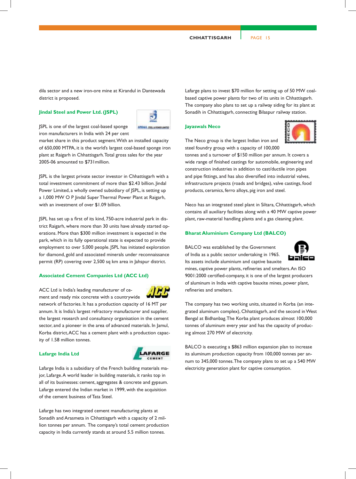dila sector and a new iron-ore mine at Kirandul in Dantewada district is proposed.

#### **Jindal Steel and Power Ltd. (JSPL)**

JSPL is one of the largest coal-based sponge iron manufacturers in India with 24 per cent

market share in this product segment. With an installed capacity of 650,000 MTPA, it is the world's largest coal-based sponge iron plant at Raigarh in Chhattisgarh. Total gross sales for the year 2005-06 amounted to \$731million.

**JIDAL INLAN** 

JSPL is the largest private sector investor in Chhattisgarh with a total investment commitment of more than \$2.43 billion. Jindal Power Limited, a wholly owned subsidiary of JSPL, is setting up a 1,000 MW O P Jindal Super Thermal Power Plant at Raigarh, with an investment of over \$1.09 billion.

JSPL has set up a first of its kind, 750-acre industrial park in district Raigarh, where more than 30 units have already started operations. More than \$300 million investment is expected in the park, which in its fully operational state is expected to provide employment to over 5,000 people. JSPL has initiated exploration for diamond, gold and associated minerals under reconnaissance permit (RP) covering over 2,500 sq km area in Jahspur district.

## **Associated Cement Companies Ltd (ACC Ltd)**

ACC Ltd is India's leading manufacturer of ce-

ment and ready mix concrete with a countrywide network of factories. It has a production capacity of 16 MT per annum. It is India's largest refractory manufacturer and supplier, the largest research and consultancy organisation in the cement sector, and a pioneer in the area of advanced materials. In Jamul, Korba district, ACC has a cement plant with a production capacity of 1.58 million tonnes.

#### **Lafarge India Ltd**



Lafarge India is a subsidiary of the French building materials major, Lafarge. A world leader in building materials, it ranks top in all of its businesses: cement, aggregates & concrete and gypsum. Lafarge entered the Indian market in 1999, with the acquisition of the cement business of Tata Steel.

Lafarge has two integrated cement manufacturing plants at Sonadih and Arasmeta in Chhattisgarh with a capacity of 2 million tonnes per annum. The company's total cement production capacity in India currently stands at around 5.5 million tonnes.

Lafarge plans to invest \$70 million for setting up of 50 MW coalbased captive power plants for two of its units in Chhattisgarh. The company also plans to set up a railway siding for its plant at Sonadih in Chhattisgarh, connecting Bilaspur railway station.

## **Jayaswals Neco**



The Neco group is the largest Indian iron and steel foundry group with a capacity of 100,000

tonnes and a turnover of \$150 million per annum. It covers a wide range of finished castings for automobile, engineering and construction industries in addition to cast/ductile iron pipes and pipe fittings, and has also diversified into industrial valves, infrastructure projects (roads and bridges), valve castings, food products, ceramics, ferro alloys, pig iron and steel.

Neco has an integrated steel plant in Siltara, Chhattisgarh, which contains all auxiliary facilities along with a 40 MW captive power plant, raw-material handling plants and a gas cleaning plant.

# **Bharat Aluminium Company Ltd (BALCO)**

BALCO was established by the Government of India as a public sector undertaking in 1965. Its assets include aluminium and captive bauxite



mines, captive power plants, refineries and smelters. An ISO 9001:2000 certified-company, it is one of the largest producers of aluminum in India with captive bauxite mines, power plant, refineries and smelters.

The company has two working units, situated in Korba (an integrated aluminum complex), Chhattisgarh, and the second in West Bengal at Bidhanbag. The Korba plant produces almost 100,000 tonnes of aluminum every year and has the capacity of producing almost 270 MW of electricity.

BALCO is executing a \$863 million expansion plan to increase its aluminum production capacity from 100,000 tonnes per annum to 345,000 tonnes. The company plans to set up a 540 MW electricity generation plant for captive consumption.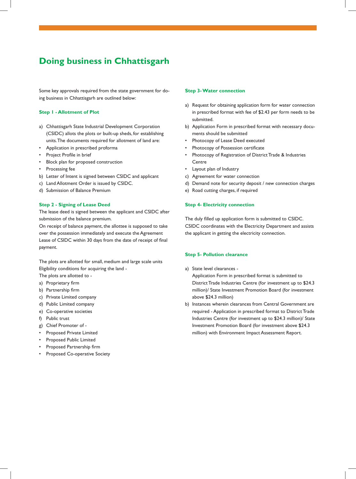# **Doing business in Chhattisgarh**

Some key approvals required from the state government for doing business in Chhattisgarh are outlined below:

# **Step 1 - Allotment of Plot**

- a) Chhattisgarh State Industrial Development Corporation (CSIDC) allots the plots or built-up sheds, for establishing units. The documents required for allotment of land are:
- Application in prescribed proforma
- Project Profile in brief
- Block plan for proposed construction
- Processing fee
- b) Letter of Intent is signed between CSIDC and applicant
- c) Land Allotment Order is issued by CSIDC.
- d) Submission of Balance Premium

# **Step 2 - Signing of Lease Deed**

The lease deed is signed between the applicant and CSIDC after submission of the balance premium.

On receipt of balance payment, the allottee is supposed to take over the possession immediately and execute the Agreement Lease of CSIDC within 30 days from the date of receipt of final payment.

The plots are allotted for small, medium and large scale units Eligibility conditions for acquiring the land -

- The plots are allotted to -
- a) Proprietary firm
- b) Partnership firm
- c) Private Limited company
- d) Public Limited company
- e) Co-operative societies
- f) Public trust
- g) Chief Promoter of -
- Proposed Private Limited
- Proposed Public Limited
- Proposed Partnership firm
- Proposed Co-operative Society

#### **Step 3- Water connection**

- a) Request for obtaining application form for water connection in prescribed format with fee of \$2.43 per form needs to be submitted.
- b) Application Form in prescribed format with necessary documents should be submitted
- Photocopy of Lease Deed executed
- Photocopy of Possession certificate
- Photocopy of Registration of District Trade & Industries **Centre**
- Layout plan of Industry
- c) Agreement for water connection
- d) Demand note for security deposit / new connection charges
- e) Road cutting charges, if required

# **Step 4- Electricity connection**

The duly filled up application form is submitted to CSIDC. CSIDC coordinates with the Electricity Department and assists the applicant in getting the electricity connection.

#### **Step 5- Pollution clearance**

a) State level clearances -

 Application Form in prescribed format is submitted to District Trade Industries Centre (for investment up to \$24.3 million)/ State Investment Promotion Board (for investment above \$24.3 million)

b) Instances wherein clearances from Central Government are required - Application in prescribed format to District Trade Industries Centre (for investment up to \$24.3 million)/ State Investment Promotion Board (for investment above \$24.3 million) with Environment Impact Assessment Report.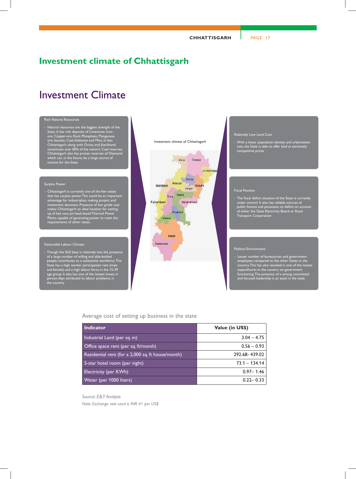# **Investment climate of Chhattisgarh**

# Investment Climate

#### Rich Natural Resources

- Natural resources are the biggest strength of the State. It has rich deposits of Limestone, Ironore, Copper-ore, Rock Phosphate, Manganese ore, bauxite, Coal, Asbestos and Mica. In fact Chhattisgarh, along with Orissa and Jharkhand, constitutes over 80% of the nation's Coal reserves. Chhattisgarh also has proven reserves of Diamond which can, in the future, be a large source of income for the State

#### Surplus Power

- Chhattisgarh is currently one of the few states that has surplus power. This could be an important advantage for industrialists making project and investment decisions. Presence of low grade coal makes Chhattisgarh an ideal location for setting up of low cost pit head based Thermal Power Plants, capable of generating power to meet the requirements of other states.

#### Favourable Labour Climate

- Though the Skill base is relatively low, the presence of a large number of willing and able-bodied people contributes to a substantial workforce. The State has a high worker participation rate (male and female) and a high labour force in the 15-39 age group. It also has one of the lowest losses in person-days attributed to labour problems, in the country

#### Investment climate of Chhattisgarh



#### Relatively Low Land Cost

- With a lower population density and urbanisation rate, the State is able to offer land at extremely competitive prices

#### Fiscal Position

- The fiscal deficit situation of the State is currently under control. It also has reliable sources of public finance and possesses no deficit on account of either the State Electricity Board or Road Transport Corporation

#### Political Environment

- Lesser number of bureaucrats and government employees compared to the other States in the country. This has also resulted in one of the lowest expenditures in the country on government functioning. The presence of a strong, committed and focused leadership is an asset in the state.

# Average cost of setting up business in the state

| <b>Indicator</b>                                  | Value (in US\$) |
|---------------------------------------------------|-----------------|
| Industrial Land (per sq. m)                       | $3.04 - 4.75$   |
| Office space rent (per sq. ft/month)              | $0.56 - 0.93$   |
| Residential rent (for a 2,000 sq. ft house/month) | 292.68-439.02   |
| 5-star hotel room (per night)                     | $73.1 - 134.14$ |
| Electricity (per KWh)                             | $0.97 - 1.46$   |
| Water (per 1000 liters)                           | $0.22 - 0.33$   |

# *Source: E&Y Analysis*

*Note: Exchange rate used is INR 41 per US\$*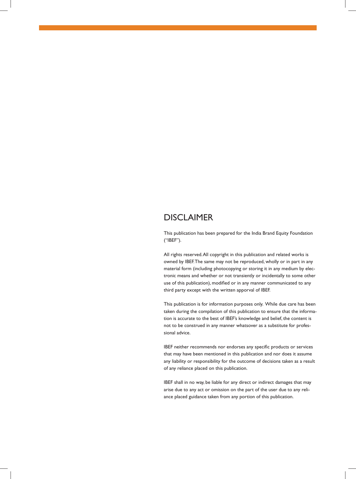# DISCLAIMER

This publication has been prepared for the India Brand Equity Foundation ("IBEF").

All rights reserved. All copyright in this publication and related works is owned by IBEF. The same may not be reproduced, wholly or in part in any material form (including photocopying or storing it in any medium by electronic means and whether or not transiently or incidentally to some other use of this publication), modified or in any manner communicated to any third party except with the written apporval of IBEF.

This publication is for information purposes only. While due care has been taken during the compilation of this publication to ensure that the information is accurate to the best of IBEF's knowledge and belief, the content is not to be construed in any manner whatsover as a substitute for professional advice.

IBEF neither recommends nor endorses any specific products or services that may have been mentioned in this publication and nor does it assume any liability or responsibility for the outcome of decisions taken as a result of any reliance placed on this publication.

IBEF shall in no way, be liable for any direct or indirect damages that may arise due to any act or omission on the part of the user due to any reliance placed guidance taken from any portion of this publication.